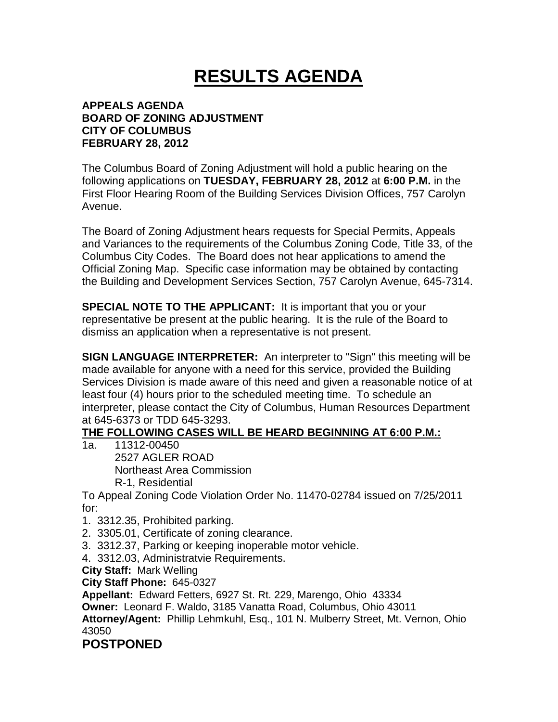# **RESULTS AGENDA**

#### **APPEALS AGENDA BOARD OF ZONING ADJUSTMENT CITY OF COLUMBUS FEBRUARY 28, 2012**

The Columbus Board of Zoning Adjustment will hold a public hearing on the following applications on **TUESDAY, FEBRUARY 28, 2012** at **6:00 P.M.** in the First Floor Hearing Room of the Building Services Division Offices, 757 Carolyn Avenue.

The Board of Zoning Adjustment hears requests for Special Permits, Appeals and Variances to the requirements of the Columbus Zoning Code, Title 33, of the Columbus City Codes. The Board does not hear applications to amend the Official Zoning Map. Specific case information may be obtained by contacting the Building and Development Services Section, 757 Carolyn Avenue, 645-7314.

**SPECIAL NOTE TO THE APPLICANT:** It is important that you or your representative be present at the public hearing. It is the rule of the Board to dismiss an application when a representative is not present.

**SIGN LANGUAGE INTERPRETER:** An interpreter to "Sign" this meeting will be made available for anyone with a need for this service, provided the Building Services Division is made aware of this need and given a reasonable notice of at least four (4) hours prior to the scheduled meeting time. To schedule an interpreter, please contact the City of Columbus, Human Resources Department at 645-6373 or TDD 645-3293.

## **THE FOLLOWING CASES WILL BE HEARD BEGINNING AT 6:00 P.M.:**

1a. 11312-00450 2527 AGLER ROAD Northeast Area Commission R-1, Residential

To Appeal Zoning Code Violation Order No. 11470-02784 issued on 7/25/2011 for:

- 1. 3312.35, Prohibited parking.
- 2. 3305.01, Certificate of zoning clearance.
- 3. 3312.37, Parking or keeping inoperable motor vehicle.
- 4. 3312.03, Administratvie Requirements.

**City Staff:** Mark Welling

**City Staff Phone:** 645-0327

**Appellant:** Edward Fetters, 6927 St. Rt. 229, Marengo, Ohio 43334

**Owner:** Leonard F. Waldo, 3185 Vanatta Road, Columbus, Ohio 43011

**Attorney/Agent:** Phillip Lehmkuhl, Esq., 101 N. Mulberry Street, Mt. Vernon, Ohio 43050

## **POSTPONED**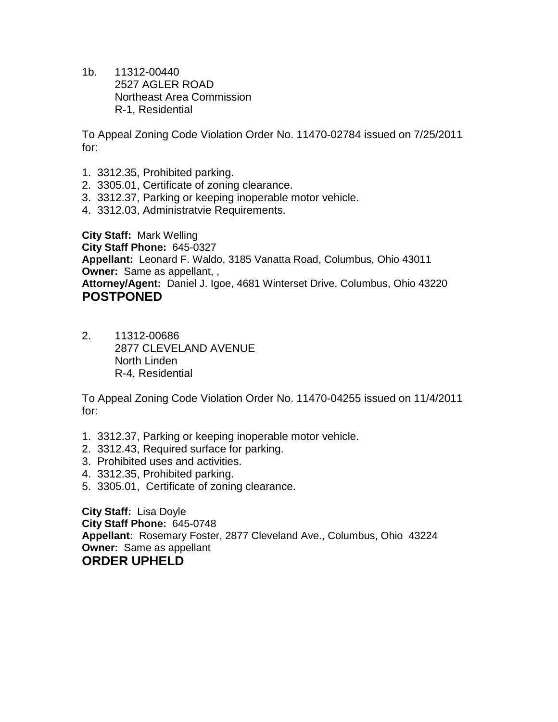1b. 11312-00440 2527 AGLER ROAD Northeast Area Commission R-1, Residential

To Appeal Zoning Code Violation Order No. 11470-02784 issued on 7/25/2011 for:

- 1. 3312.35, Prohibited parking.
- 2. 3305.01, Certificate of zoning clearance.
- 3. 3312.37, Parking or keeping inoperable motor vehicle.
- 4. 3312.03, Administratvie Requirements.

**City Staff:** Mark Welling **City Staff Phone:** 645-0327 **Appellant:** Leonard F. Waldo, 3185 Vanatta Road, Columbus, Ohio 43011 **Owner:** Same as appellant, ,

**Attorney/Agent:** Daniel J. Igoe, 4681 Winterset Drive, Columbus, Ohio 43220 **POSTPONED**

2. 11312-00686 2877 CLEVELAND AVENUE North Linden R-4, Residential

To Appeal Zoning Code Violation Order No. 11470-04255 issued on 11/4/2011 for:

- 1. 3312.37, Parking or keeping inoperable motor vehicle.
- 2. 3312.43, Required surface for parking.
- 3. Prohibited uses and activities.
- 4. 3312.35, Prohibited parking.
- 5. 3305.01, Certificate of zoning clearance.

**City Staff:** Lisa Doyle **City Staff Phone:** 645-0748 **Appellant:** Rosemary Foster, 2877 Cleveland Ave., Columbus, Ohio 43224 **Owner:** Same as appellant **ORDER UPHELD**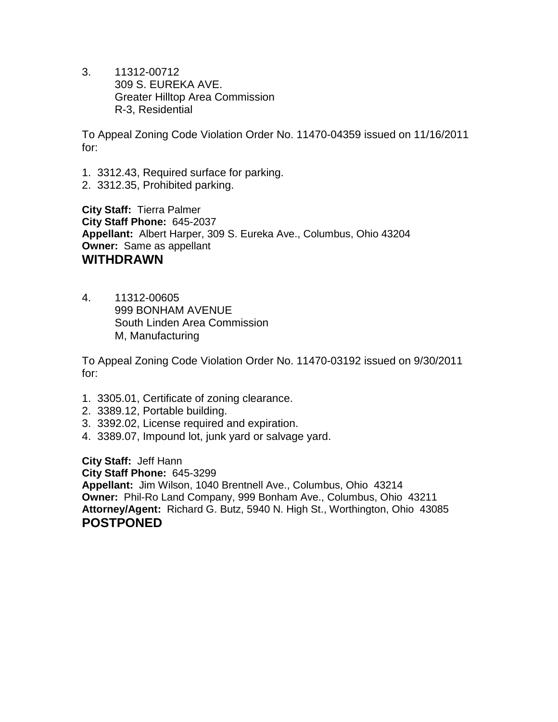3. 11312-00712 309 S. EUREKA AVE. Greater Hilltop Area Commission R-3, Residential

To Appeal Zoning Code Violation Order No. 11470-04359 issued on 11/16/2011 for:

- 1. 3312.43, Required surface for parking.
- 2. 3312.35, Prohibited parking.

**City Staff:** Tierra Palmer **City Staff Phone:** 645-2037 **Appellant:** Albert Harper, 309 S. Eureka Ave., Columbus, Ohio 43204 **Owner:** Same as appellant **WITHDRAWN**

4. 11312-00605 999 BONHAM AVENUE South Linden Area Commission M, Manufacturing

To Appeal Zoning Code Violation Order No. 11470-03192 issued on 9/30/2011 for:

- 1. 3305.01, Certificate of zoning clearance.
- 2. 3389.12, Portable building.
- 3. 3392.02, License required and expiration.
- 4. 3389.07, Impound lot, junk yard or salvage yard.

**City Staff:** Jeff Hann **City Staff Phone:** 645-3299 **Appellant:** Jim Wilson, 1040 Brentnell Ave., Columbus, Ohio 43214 **Owner:** Phil-Ro Land Company, 999 Bonham Ave., Columbus, Ohio 43211 **Attorney/Agent:** Richard G. Butz, 5940 N. High St., Worthington, Ohio 43085 **POSTPONED**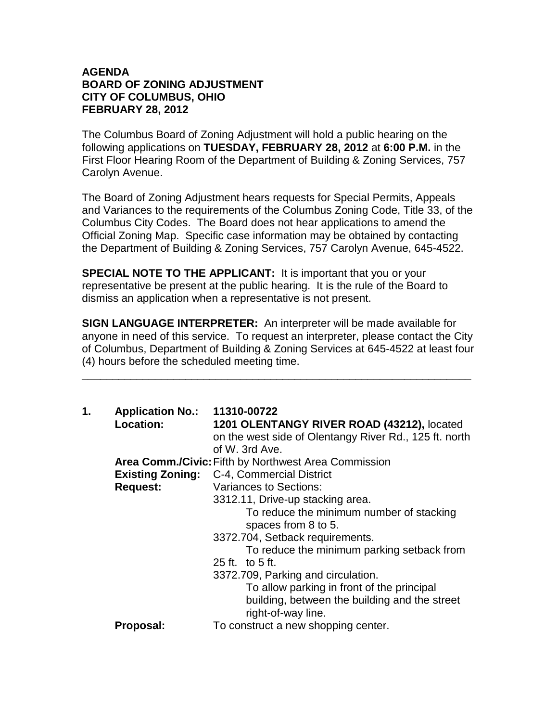#### **AGENDA BOARD OF ZONING ADJUSTMENT CITY OF COLUMBUS, OHIO FEBRUARY 28, 2012**

The Columbus Board of Zoning Adjustment will hold a public hearing on the following applications on **TUESDAY, FEBRUARY 28, 2012** at **6:00 P.M.** in the First Floor Hearing Room of the Department of Building & Zoning Services, 757 Carolyn Avenue.

The Board of Zoning Adjustment hears requests for Special Permits, Appeals and Variances to the requirements of the Columbus Zoning Code, Title 33, of the Columbus City Codes. The Board does not hear applications to amend the Official Zoning Map. Specific case information may be obtained by contacting the Department of Building & Zoning Services, 757 Carolyn Avenue, 645-4522.

**SPECIAL NOTE TO THE APPLICANT:** It is important that you or your representative be present at the public hearing. It is the rule of the Board to dismiss an application when a representative is not present.

**SIGN LANGUAGE INTERPRETER:** An interpreter will be made available for anyone in need of this service. To request an interpreter, please contact the City of Columbus, Department of Building & Zoning Services at 645-4522 at least four (4) hours before the scheduled meeting time.

\_\_\_\_\_\_\_\_\_\_\_\_\_\_\_\_\_\_\_\_\_\_\_\_\_\_\_\_\_\_\_\_\_\_\_\_\_\_\_\_\_\_\_\_\_\_\_\_\_\_\_\_\_\_\_\_\_\_\_\_\_\_\_\_

| 1. | <b>Application No.: 11310-00722</b><br>Location: | 1201 OLENTANGY RIVER ROAD (43212), located<br>on the west side of Olentangy River Rd., 125 ft. north<br>of W. 3rd Ave. |
|----|--------------------------------------------------|------------------------------------------------------------------------------------------------------------------------|
|    |                                                  | <b>Area Comm./Civic:</b> Fifth by Northwest Area Commission                                                            |
|    |                                                  | <b>Existing Zoning: C-4, Commercial District</b>                                                                       |
|    | <b>Request:</b>                                  | Variances to Sections:                                                                                                 |
|    |                                                  | 3312.11, Drive-up stacking area.                                                                                       |
|    |                                                  | To reduce the minimum number of stacking<br>spaces from 8 to 5.                                                        |
|    |                                                  | 3372.704, Setback requirements.                                                                                        |
|    |                                                  | To reduce the minimum parking setback from                                                                             |
|    |                                                  | $25$ ft. to $5$ ft.                                                                                                    |
|    |                                                  | 3372.709, Parking and circulation.                                                                                     |
|    |                                                  | To allow parking in front of the principal                                                                             |
|    |                                                  | building, between the building and the street<br>right-of-way line.                                                    |
|    | Proposal:                                        | To construct a new shopping center.                                                                                    |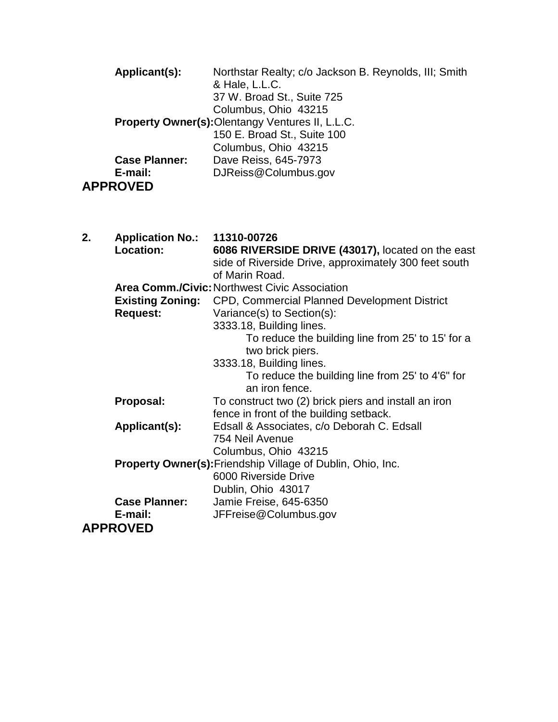|    | Applicant(s):                               | Northstar Realty; c/o Jackson B. Reynolds, III; Smith<br>& Hale, L.L.C.<br>37 W. Broad St., Suite 725<br>Columbus, Ohio 43215                                                                                                                                   |
|----|---------------------------------------------|-----------------------------------------------------------------------------------------------------------------------------------------------------------------------------------------------------------------------------------------------------------------|
|    |                                             | Property Owner(s): Olentangy Ventures II, L.L.C.<br>150 E. Broad St., Suite 100<br>Columbus, Ohio 43215                                                                                                                                                         |
|    | <b>Case Planner:</b><br>E-mail:             | Dave Reiss, 645-7973<br>DJReiss@Columbus.gov                                                                                                                                                                                                                    |
|    | <b>APPROVED</b>                             |                                                                                                                                                                                                                                                                 |
| 2. | <b>Application No.:</b><br><b>Location:</b> | 11310-00726<br>6086 RIVERSIDE DRIVE (43017), located on the east<br>side of Riverside Drive, approximately 300 feet south<br>of Marin Road.                                                                                                                     |
|    | <b>Request:</b>                             | <b>Area Comm./Civic: Northwest Civic Association</b><br><b>Existing Zoning:</b> CPD, Commercial Planned Development District<br>Variance(s) to Section(s):<br>3333.18, Building lines.<br>To reduce the building line from 25' to 15' for a<br>two brick piers. |
|    | Proposal:                                   | 3333.18, Building lines.<br>To reduce the building line from 25' to 4'6" for<br>an iron fence.<br>To construct two (2) brick piers and install an iron                                                                                                          |
|    |                                             |                                                                                                                                                                                                                                                                 |

fence in front of the building setback.

**Applicant(s):** Edsall & Associates, c/o Deborah C. Edsall

Columbus, Ohio 43215

**E-mail:** JFFreise@Columbus.gov

754 Neil Avenue

**Property Owner(s):**Friendship Village of Dublin, Ohio, Inc. 6000 Riverside Drive Dublin, Ohio 43017

**Case Planner:** Jamie Freise, 645-6350 **APPROVED**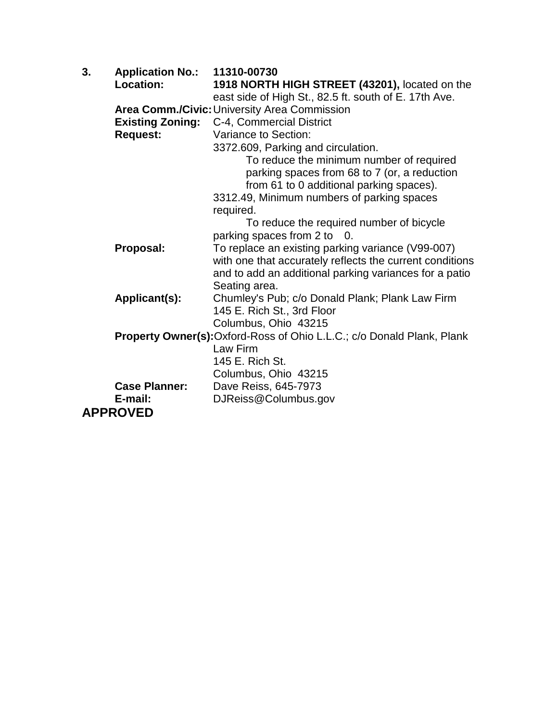| 3. | <b>Application No.:</b><br>Location:       | 11310-00730<br>1918 NORTH HIGH STREET (43201), located on the                                         |
|----|--------------------------------------------|-------------------------------------------------------------------------------------------------------|
|    |                                            | east side of High St., 82.5 ft. south of E. 17th Ave.<br>Area Comm./Civic: University Area Commission |
|    | <b>Existing Zoning:</b><br><b>Request:</b> | C-4, Commercial District<br>Variance to Section:                                                      |
|    |                                            | 3372.609, Parking and circulation.                                                                    |
|    |                                            | To reduce the minimum number of required                                                              |
|    |                                            | parking spaces from 68 to 7 (or, a reduction                                                          |
|    |                                            | from 61 to 0 additional parking spaces).                                                              |
|    |                                            | 3312.49, Minimum numbers of parking spaces                                                            |
|    |                                            | required.                                                                                             |
|    |                                            | To reduce the required number of bicycle                                                              |
|    | Proposal:                                  | parking spaces from 2 to 0.<br>To replace an existing parking variance (V99-007)                      |
|    |                                            | with one that accurately reflects the current conditions                                              |
|    |                                            | and to add an additional parking variances for a patio                                                |
|    |                                            | Seating area.                                                                                         |
|    | Applicant(s):                              | Chumley's Pub; c/o Donald Plank; Plank Law Firm                                                       |
|    |                                            | 145 E. Rich St., 3rd Floor                                                                            |
|    |                                            | Columbus, Ohio 43215                                                                                  |
|    |                                            | <b>Property Owner(s):</b> Oxford-Ross of Ohio L.L.C.; c/o Donald Plank, Plank                         |
|    |                                            | Law Firm<br>145 E. Rich St.                                                                           |
|    |                                            | Columbus, Ohio 43215                                                                                  |
|    | <b>Case Planner:</b>                       | Dave Reiss, 645-7973                                                                                  |
|    | E-mail:                                    | DJReiss@Columbus.gov                                                                                  |
|    | <b>APPROVED</b>                            |                                                                                                       |
|    |                                            |                                                                                                       |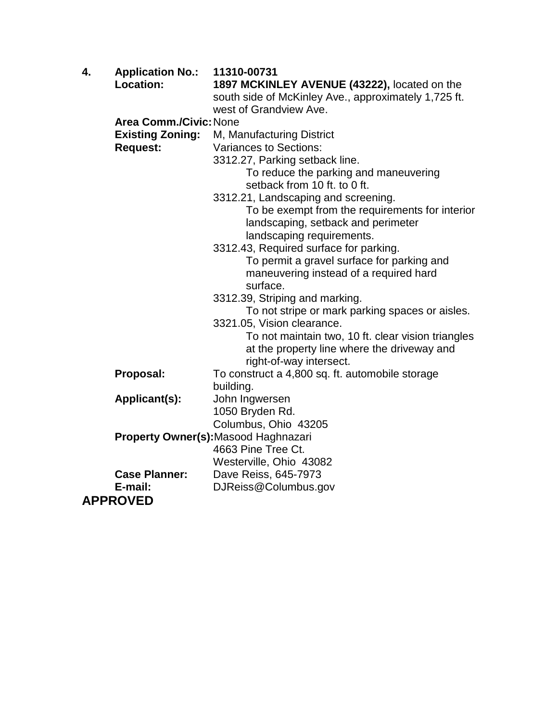| 4. | <b>Application No.:</b>       | 11310-00731                                          |
|----|-------------------------------|------------------------------------------------------|
|    | Location:                     | 1897 MCKINLEY AVENUE (43222), located on the         |
|    |                               | south side of McKinley Ave., approximately 1,725 ft. |
|    |                               | west of Grandview Ave.                               |
|    | <b>Area Comm./Civic: None</b> |                                                      |
|    | <b>Existing Zoning:</b>       | M, Manufacturing District                            |
|    | <b>Request:</b>               | <b>Variances to Sections:</b>                        |
|    |                               | 3312.27, Parking setback line.                       |
|    |                               | To reduce the parking and maneuvering                |
|    |                               | setback from 10 ft. to 0 ft.                         |
|    |                               |                                                      |
|    |                               | 3312.21, Landscaping and screening.                  |
|    |                               | To be exempt from the requirements for interior      |
|    |                               | landscaping, setback and perimeter                   |
|    |                               | landscaping requirements.                            |
|    |                               | 3312.43, Required surface for parking.               |
|    |                               | To permit a gravel surface for parking and           |
|    |                               | maneuvering instead of a required hard               |
|    |                               | surface.                                             |
|    |                               | 3312.39, Striping and marking.                       |
|    |                               | To not stripe or mark parking spaces or aisles.      |
|    |                               | 3321.05, Vision clearance.                           |
|    |                               | To not maintain two, 10 ft. clear vision triangles   |
|    |                               | at the property line where the driveway and          |
|    |                               | right-of-way intersect.                              |
|    | Proposal:                     | To construct a 4,800 sq. ft. automobile storage      |
|    |                               | building.                                            |
|    | Applicant(s):                 | John Ingwersen                                       |
|    |                               | 1050 Bryden Rd.                                      |
|    |                               | Columbus, Ohio 43205                                 |
|    |                               | Property Owner(s): Masood Haghnazari                 |
|    |                               | 4663 Pine Tree Ct.                                   |
|    |                               | Westerville, Ohio 43082                              |
|    | <b>Case Planner:</b>          | Dave Reiss, 645-7973                                 |
|    | E-mail:                       | DJReiss@Columbus.gov                                 |
|    | <b>APPROVED</b>               |                                                      |
|    |                               |                                                      |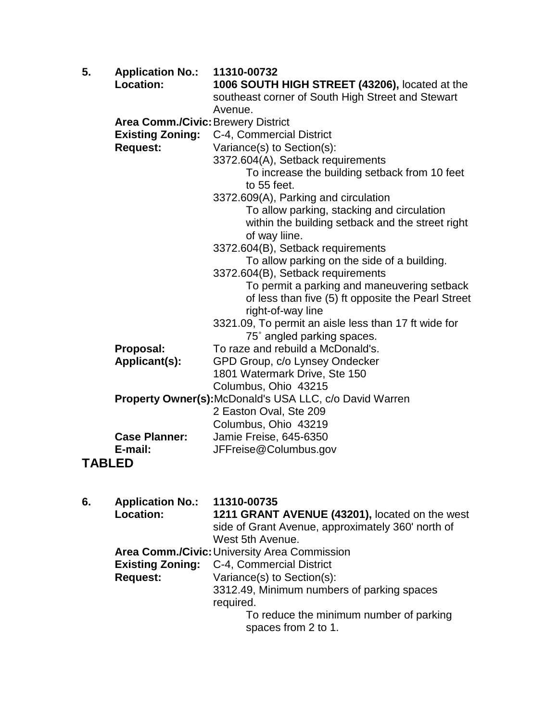| 5.            | <b>Application No.:</b>            | 11310-00732                                                   |
|---------------|------------------------------------|---------------------------------------------------------------|
|               | Location:                          | 1006 SOUTH HIGH STREET (43206), located at the                |
|               |                                    | southeast corner of South High Street and Stewart             |
|               |                                    | Avenue.                                                       |
|               | Area Comm./Civic: Brewery District |                                                               |
|               | <b>Existing Zoning:</b>            | C-4, Commercial District                                      |
|               | <b>Request:</b>                    | Variance(s) to Section(s):                                    |
|               |                                    | 3372.604(A), Setback requirements                             |
|               |                                    | To increase the building setback from 10 feet                 |
|               |                                    | to 55 feet.                                                   |
|               |                                    | 3372.609(A), Parking and circulation                          |
|               |                                    | To allow parking, stacking and circulation                    |
|               |                                    | within the building setback and the street right              |
|               |                                    | of way liine.                                                 |
|               |                                    | 3372.604(B), Setback requirements                             |
|               |                                    | To allow parking on the side of a building.                   |
|               |                                    | 3372.604(B), Setback requirements                             |
|               |                                    | To permit a parking and maneuvering setback                   |
|               |                                    | of less than five (5) ft opposite the Pearl Street            |
|               |                                    | right-of-way line                                             |
|               |                                    | 3321.09, To permit an aisle less than 17 ft wide for          |
|               |                                    | 75° angled parking spaces.                                    |
|               | Proposal:                          | To raze and rebuild a McDonald's.                             |
|               | Applicant(s):                      | GPD Group, c/o Lynsey Ondecker                                |
|               |                                    | 1801 Watermark Drive, Ste 150                                 |
|               |                                    | Columbus, Ohio 43215                                          |
|               |                                    | <b>Property Owner(s):McDonald's USA LLC, c/o David Warren</b> |
|               |                                    | 2 Easton Oval, Ste 209                                        |
|               |                                    | Columbus, Ohio 43219                                          |
|               | <b>Case Planner:</b>               | Jamie Freise, 645-6350                                        |
|               | E-mail:                            | JFFreise@Columbus.gov                                         |
| <b>TABLED</b> |                                    |                                                               |

| 11310-00735<br>1211 GRANT AVENUE (43201), located on the west<br>side of Grant Avenue, approximately 360' north of<br>West 5th Avenue.                                                                       |
|--------------------------------------------------------------------------------------------------------------------------------------------------------------------------------------------------------------|
| Area Comm./Civic: University Area Commission<br>C-4, Commercial District<br>Variance(s) to Section(s):<br>3312.49, Minimum numbers of parking spaces<br>required.<br>To reduce the minimum number of parking |
| spaces from 2 to 1.                                                                                                                                                                                          |
|                                                                                                                                                                                                              |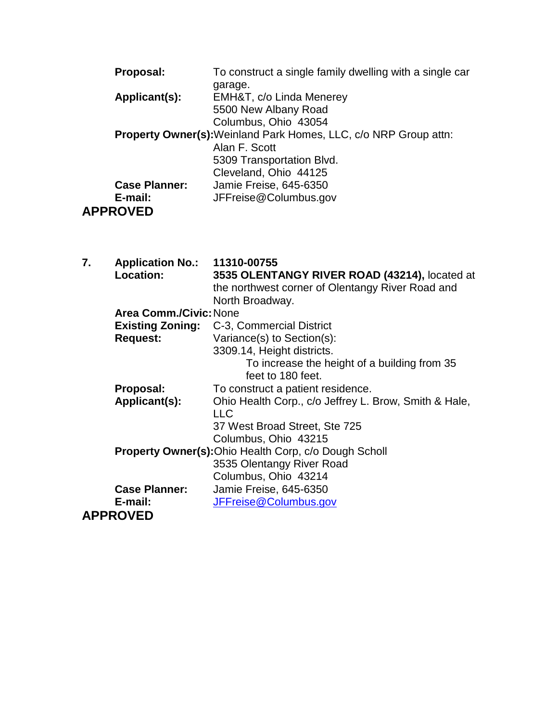| Proposal:            | To construct a single family dwelling with a single car                 |
|----------------------|-------------------------------------------------------------------------|
|                      | garage.                                                                 |
| Applicant(s):        | EMH&T, c/o Linda Menerey                                                |
|                      | 5500 New Albany Road                                                    |
|                      | Columbus, Ohio 43054                                                    |
|                      | <b>Property Owner(s):</b> Weinland Park Homes, LLC, c/o NRP Group attn: |
|                      | Alan F. Scott                                                           |
|                      | 5309 Transportation Blvd.                                               |
|                      | Cleveland, Ohio 44125                                                   |
| <b>Case Planner:</b> | Jamie Freise, 645-6350                                                  |
| E-mail:              | JFFreise@Columbus.gov                                                   |
| <b>APPROVED</b>      |                                                                         |

| 7. | Application No.: 11310-00755                                 |                                                       |
|----|--------------------------------------------------------------|-------------------------------------------------------|
|    | Location:                                                    | 3535 OLENTANGY RIVER ROAD (43214), located at         |
|    |                                                              | the northwest corner of Olentangy River Road and      |
|    |                                                              | North Broadway.                                       |
|    | <b>Area Comm./Civic: None</b>                                |                                                       |
|    |                                                              | <b>Existing Zoning: C-3, Commercial District</b>      |
|    | <b>Request:</b>                                              | Variance(s) to Section(s):                            |
|    |                                                              | 3309.14, Height districts.                            |
|    |                                                              | To increase the height of a building from 35          |
|    |                                                              | feet to 180 feet.                                     |
|    | Proposal:                                                    | To construct a patient residence.                     |
|    | Applicant(s):                                                | Ohio Health Corp., c/o Jeffrey L. Brow, Smith & Hale, |
|    |                                                              | <b>LLC</b>                                            |
|    |                                                              | 37 West Broad Street, Ste 725                         |
|    |                                                              | Columbus, Ohio 43215                                  |
|    | <b>Property Owner(s): Ohio Health Corp, c/o Dough Scholl</b> |                                                       |
|    |                                                              | 3535 Olentangy River Road                             |
|    |                                                              | Columbus, Ohio 43214                                  |
|    | <b>Case Planner:</b>                                         | Jamie Freise, 645-6350                                |
|    | E-mail:                                                      | JFFreise@Columbus.gov                                 |
|    | <b>APPROVED</b>                                              |                                                       |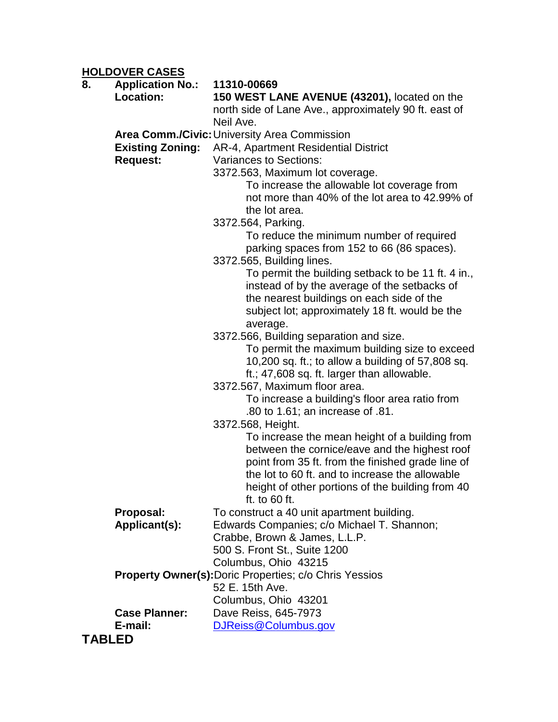**HOLDOVER CASES**

| 8.            | <u>INCLUSTER UNULU</u><br><b>Application No.:</b> | 11310-00669                                                                                     |
|---------------|---------------------------------------------------|-------------------------------------------------------------------------------------------------|
|               | <b>Location:</b>                                  | 150 WEST LANE AVENUE (43201), located on the                                                    |
|               |                                                   | north side of Lane Ave., approximately 90 ft. east of                                           |
|               |                                                   | Neil Ave.                                                                                       |
|               |                                                   | <b>Area Comm./Civic: University Area Commission</b>                                             |
|               | <b>Existing Zoning:</b>                           | AR-4, Apartment Residential District                                                            |
|               | <b>Request:</b>                                   | <b>Variances to Sections:</b>                                                                   |
|               |                                                   | 3372.563, Maximum lot coverage.                                                                 |
|               |                                                   | To increase the allowable lot coverage from                                                     |
|               |                                                   | not more than 40% of the lot area to 42.99% of                                                  |
|               |                                                   | the lot area.                                                                                   |
|               |                                                   | 3372.564, Parking.                                                                              |
|               |                                                   | To reduce the minimum number of required                                                        |
|               |                                                   | parking spaces from 152 to 66 (86 spaces).                                                      |
|               |                                                   | 3372.565, Building lines.                                                                       |
|               |                                                   | To permit the building setback to be 11 ft. 4 in.,                                              |
|               |                                                   | instead of by the average of the setbacks of                                                    |
|               |                                                   | the nearest buildings on each side of the                                                       |
|               |                                                   | subject lot; approximately 18 ft. would be the                                                  |
|               |                                                   | average.                                                                                        |
|               |                                                   | 3372.566, Building separation and size.                                                         |
|               |                                                   | To permit the maximum building size to exceed                                                   |
|               |                                                   | 10,200 sq. ft.; to allow a building of 57,808 sq.                                               |
|               |                                                   | ft.; 47,608 sq. ft. larger than allowable.                                                      |
|               |                                                   | 3372.567, Maximum floor area.                                                                   |
|               |                                                   | To increase a building's floor area ratio from                                                  |
|               |                                                   | .80 to 1.61; an increase of .81.                                                                |
|               |                                                   | 3372.568, Height.                                                                               |
|               |                                                   | To increase the mean height of a building from<br>between the cornice/eave and the highest roof |
|               |                                                   | point from 35 ft. from the finished grade line of                                               |
|               |                                                   | the lot to 60 ft. and to increase the allowable                                                 |
|               |                                                   | height of other portions of the building from 40                                                |
|               |                                                   | ft. to $60$ ft.                                                                                 |
|               | Proposal:                                         | To construct a 40 unit apartment building.                                                      |
|               | Applicant(s):                                     | Edwards Companies; c/o Michael T. Shannon;                                                      |
|               |                                                   | Crabbe, Brown & James, L.L.P.                                                                   |
|               |                                                   | 500 S. Front St., Suite 1200                                                                    |
|               |                                                   | Columbus, Ohio 43215                                                                            |
|               |                                                   | <b>Property Owner(s): Doric Properties; c/o Chris Yessios</b>                                   |
|               |                                                   | 52 E. 15th Ave.                                                                                 |
|               |                                                   | Columbus, Ohio 43201                                                                            |
|               | <b>Case Planner:</b>                              | Dave Reiss, 645-7973                                                                            |
|               | E-mail:                                           | DJReiss@Columbus.gov                                                                            |
| <b>TABLED</b> |                                                   |                                                                                                 |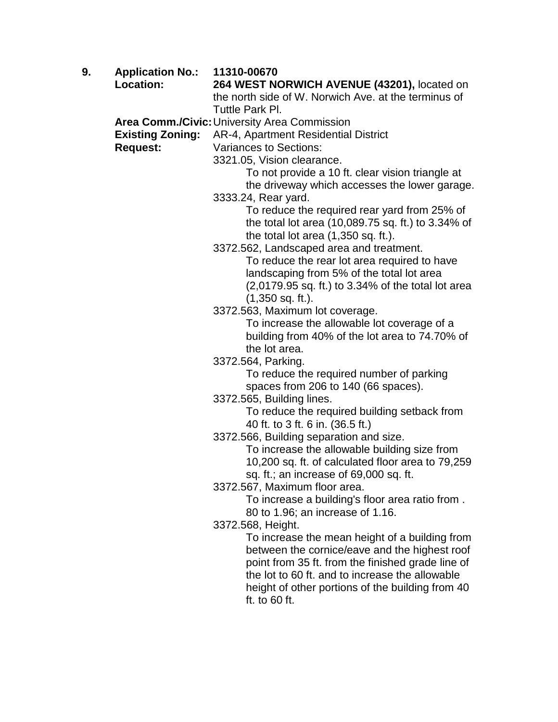**9. Application No.: 11310-00670 Location: 264 WEST NORWICH AVENUE (43201),** located on the north side of W. Norwich Ave. at the terminus of Tuttle Park Pl. **Area Comm./Civic:**University Area Commission **Existing Zoning:** AR-4, Apartment Residential District **Request:** Variances to Sections: 3321.05, Vision clearance. To not provide a 10 ft. clear vision triangle at the driveway which accesses the lower garage. 3333.24, Rear yard. To reduce the required rear yard from 25% of the total lot area (10,089.75 sq. ft.) to 3.34% of the total lot area (1,350 sq. ft.). 3372.562, Landscaped area and treatment. To reduce the rear lot area required to have landscaping from 5% of the total lot area (2,0179.95 sq. ft.) to 3.34% of the total lot area (1,350 sq. ft.). 3372.563, Maximum lot coverage. To increase the allowable lot coverage of a building from 40% of the lot area to 74.70% of the lot area. 3372.564, Parking. To reduce the required number of parking spaces from 206 to 140 (66 spaces). 3372.565, Building lines. To reduce the required building setback from 40 ft. to 3 ft. 6 in. (36.5 ft.) 3372.566, Building separation and size. To increase the allowable building size from 10,200 sq. ft. of calculated floor area to 79,259 sq. ft.; an increase of 69,000 sq. ft. 3372.567, Maximum floor area. To increase a building's floor area ratio from . 80 to 1.96; an increase of 1.16. 3372.568, Height. To increase the mean height of a building from between the cornice/eave and the highest roof point from 35 ft. from the finished grade line of the lot to 60 ft. and to increase the allowable height of other portions of the building from 40 ft. to 60 ft.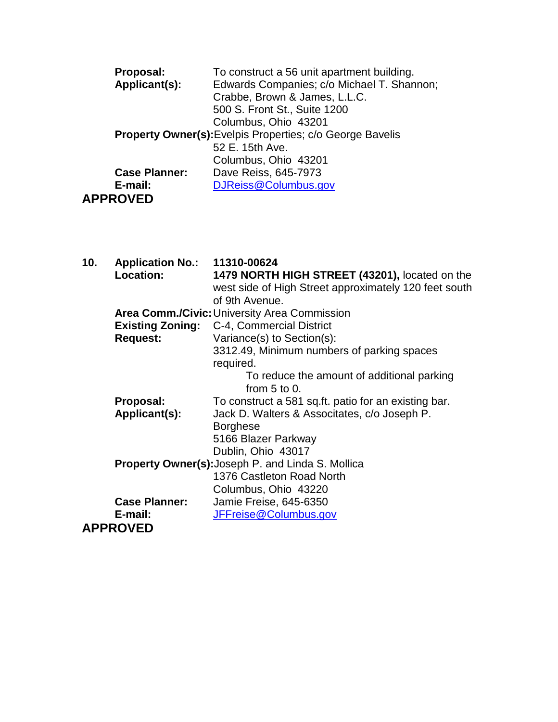| Proposal:            | To construct a 56 unit apartment building.                       |
|----------------------|------------------------------------------------------------------|
| Applicant(s):        | Edwards Companies; c/o Michael T. Shannon;                       |
|                      | Crabbe, Brown & James, L.L.C.                                    |
|                      | 500 S. Front St., Suite 1200                                     |
|                      | Columbus, Ohio 43201                                             |
|                      | <b>Property Owner(s):</b> Evelpis Properties; c/o George Bavelis |
|                      | 52 E. 15th Ave.                                                  |
|                      | Columbus, Ohio 43201                                             |
| <b>Case Planner:</b> | Dave Reiss, 645-7973                                             |
| E-mail:              | DJReiss@Columbus.gov                                             |
| <b>APPROVED</b>      |                                                                  |

| 10. | <b>Application No.: 11310-00624</b>                      |                                                       |
|-----|----------------------------------------------------------|-------------------------------------------------------|
|     | Location:                                                | 1479 NORTH HIGH STREET (43201), located on the        |
|     |                                                          | west side of High Street approximately 120 feet south |
|     |                                                          | of 9th Avenue.                                        |
|     |                                                          | <b>Area Comm./Civic: University Area Commission</b>   |
|     |                                                          | <b>Existing Zoning:</b> C-4, Commercial District      |
|     | <b>Request:</b>                                          | Variance(s) to Section(s):                            |
|     |                                                          | 3312.49, Minimum numbers of parking spaces            |
|     |                                                          | required.                                             |
|     |                                                          | To reduce the amount of additional parking            |
|     |                                                          | from $5$ to $0$ .                                     |
|     | Proposal:                                                | To construct a 581 sq.ft. patio for an existing bar.  |
|     | Applicant(s):                                            | Jack D. Walters & Associtates, c/o Joseph P.          |
|     |                                                          | <b>Borghese</b>                                       |
|     |                                                          | 5166 Blazer Parkway                                   |
|     |                                                          | Dublin, Ohio 43017                                    |
|     | <b>Property Owner(s): Joseph P. and Linda S. Mollica</b> |                                                       |
|     |                                                          | 1376 Castleton Road North                             |
|     |                                                          | Columbus, Ohio 43220                                  |
|     | <b>Case Planner:</b>                                     | Jamie Freise, 645-6350                                |
|     | E-mail:                                                  | JFFreise@Columbus.gov                                 |
|     | <b>APPROVED</b>                                          |                                                       |
|     |                                                          |                                                       |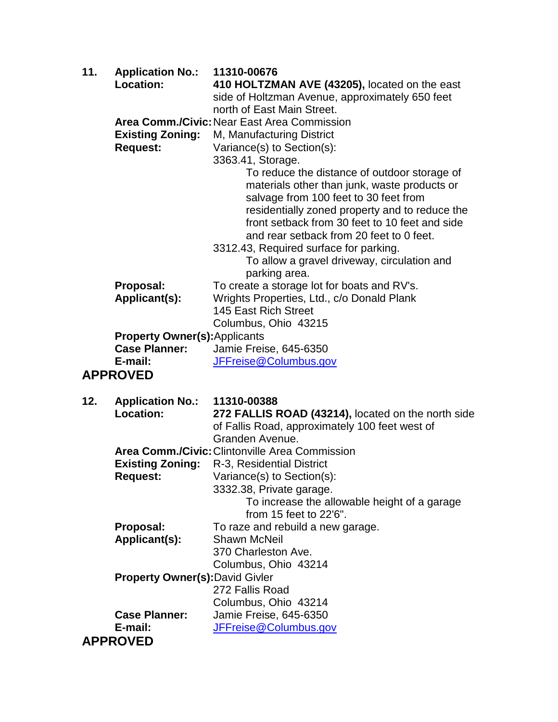| 11. | <b>Application No.:</b>                | 11310-00676                                                                           |
|-----|----------------------------------------|---------------------------------------------------------------------------------------|
|     | Location:                              | 410 HOLTZMAN AVE (43205), located on the east                                         |
|     |                                        | side of Holtzman Avenue, approximately 650 feet                                       |
|     |                                        | north of East Main Street.                                                            |
|     |                                        | Area Comm./Civic: Near East Area Commission                                           |
|     | <b>Existing Zoning:</b>                | M, Manufacturing District                                                             |
|     | <b>Request:</b>                        | Variance(s) to Section(s):                                                            |
|     |                                        | 3363.41, Storage.                                                                     |
|     |                                        | To reduce the distance of outdoor storage of                                          |
|     |                                        | materials other than junk, waste products or<br>salvage from 100 feet to 30 feet from |
|     |                                        | residentially zoned property and to reduce the                                        |
|     |                                        | front setback from 30 feet to 10 feet and side                                        |
|     |                                        | and rear setback from 20 feet to 0 feet.                                              |
|     |                                        | 3312.43, Required surface for parking.                                                |
|     |                                        | To allow a gravel driveway, circulation and                                           |
|     |                                        | parking area.                                                                         |
|     | Proposal:                              | To create a storage lot for boats and RV's.                                           |
|     | Applicant(s):                          | Wrights Properties, Ltd., c/o Donald Plank                                            |
|     |                                        | 145 East Rich Street                                                                  |
|     |                                        | Columbus, Ohio 43215                                                                  |
|     | <b>Property Owner(s):Applicants</b>    |                                                                                       |
|     | <b>Case Planner:</b>                   | Jamie Freise, 645-6350                                                                |
|     | E-mail:                                | JFFreise@Columbus.gov                                                                 |
|     | <b>APPROVED</b>                        |                                                                                       |
|     |                                        |                                                                                       |
| 12. | <b>Application No.:</b>                | 11310-00388                                                                           |
|     | <b>Location:</b>                       | 272 FALLIS ROAD (43214), located on the north side                                    |
|     |                                        | of Fallis Road, approximately 100 feet west of                                        |
|     |                                        | Granden Avenue.                                                                       |
|     |                                        | <b>Area Comm./Civic: Clintonville Area Commission</b>                                 |
|     | <b>Existing Zoning:</b>                | R-3, Residential District                                                             |
|     | <b>Request:</b>                        | Variance(s) to Section(s):                                                            |
|     |                                        | 3332.38, Private garage.                                                              |
|     |                                        | To increase the allowable height of a garage                                          |
|     |                                        | from 15 feet to 22'6".                                                                |
|     | Proposal:                              | To raze and rebuild a new garage.                                                     |
|     | Applicant(s):                          | <b>Shawn McNeil</b>                                                                   |
|     |                                        | 370 Charleston Ave.                                                                   |
|     |                                        | Columbus, Ohio 43214                                                                  |
|     | <b>Property Owner(s): David Givler</b> |                                                                                       |
|     |                                        | 272 Fallis Road                                                                       |
|     |                                        | Columbus, Ohio 43214                                                                  |
|     | <b>Case Planner:</b>                   | Jamie Freise, 645-6350                                                                |
|     | E-mail:                                | JFFreise@Columbus.gov                                                                 |
|     | <b>APPROVED</b>                        |                                                                                       |